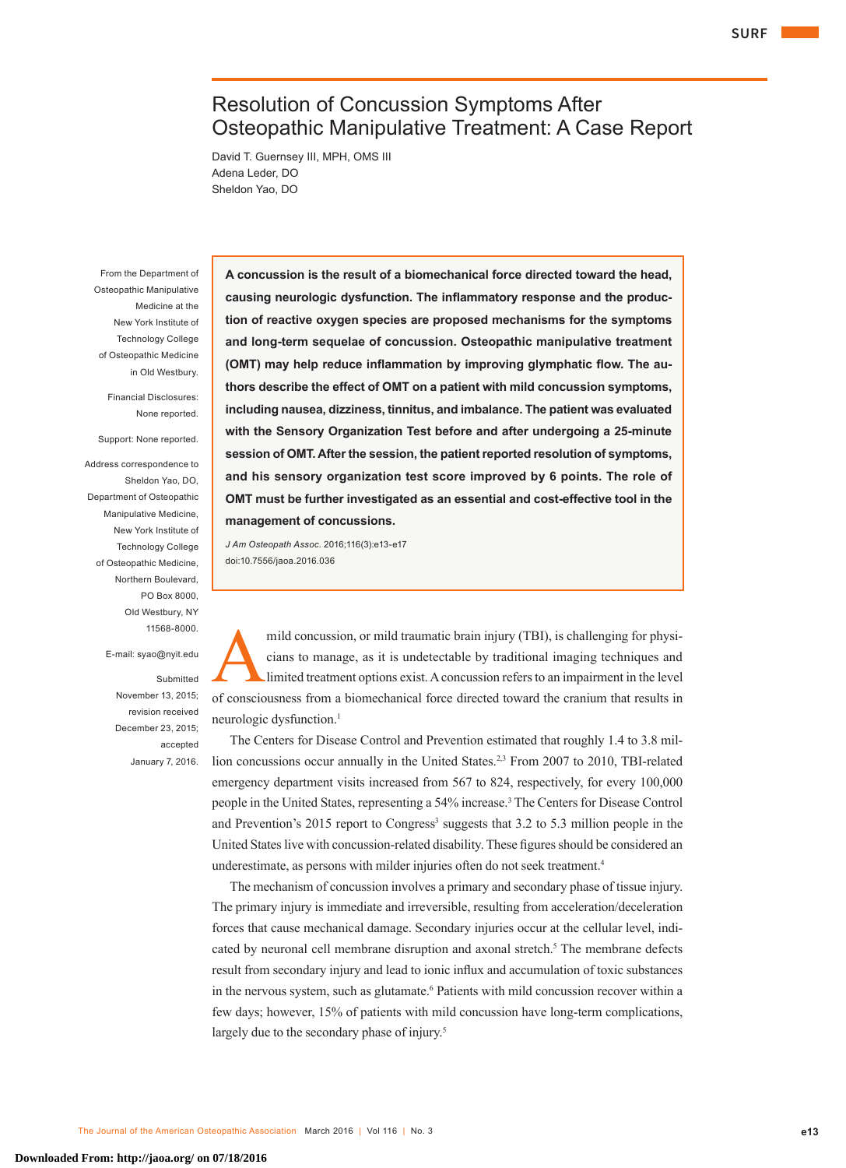# Resolution of Concussion Symptoms After Osteopathic Manipulative Treatment: A Case Report

David T. Guernsey III, MPH, OMS III Adena Leder, DO Sheldon Yao, DO

From the Department of Osteopathic Manipulative Medicine at the New York Institute of Technology College of Osteopathic Medicine in Old Westbury.

> Financial Disclosures: None reported.

Support: None reported.

Address correspondence to Sheldon Yao, DO, Department of Osteopathic Manipulative Medicine, New York Institute of Technology College of Osteopathic Medicine, Northern Boulevard, PO Box 8000, Old Westbury, NY 11568-8000.

E-mail: syao@nyit.edu

Submitted November 13, 2015; revision received December 23, 2015; accepted January 7, 2016. **A concussion is the result of a biomechanical force directed toward the head, causing neurologic dysfunction. The inflammatory response and the production of reactive oxygen species are proposed mechanisms for the symptoms and long-term sequelae of concussion. Osteopathic manipulative treatment (OMT) may help reduce inflammation by improving glymphatic flow. The authors describe the effect of OMT on a patient with mild concussion symptoms, including nausea, dizziness, tinnitus, and imbalance. The patient was evaluated with the Sensory Organization Test before and after undergoing a 25-minute session of OMT. After the session, the patient reported resolution of symptoms, and his sensory organization test score improved by 6 points. The role of OMT must be further investigated as an essential and cost-effective tool in the management of concussions.**

*J Am Osteopath Assoc*. 2016;116(3):e13-e17 doi:10.7556/jaoa.2016.036

mild concussion, or mild traumatic brain injury (TBI), is challenging for physicians to manage, as it is undetectable by traditional imaging techniques and limited treatment options exist. A concussion refers to an impairment in the level of consciousness from a biomechanical force directed toward the cranium that results in neurologic dysfunction.<sup>1</sup>

The Centers for Disease Control and Prevention estimated that roughly 1.4 to 3.8 million concussions occur annually in the United States.<sup>2,3</sup> From 2007 to 2010, TBI-related emergency department visits increased from 567 to 824, respectively, for every 100,000 people in the United States, representing a 54% increase.3 The Centers for Disease Control and Prevention's 2015 report to Congress<sup>3</sup> suggests that 3.2 to 5.3 million people in the United States live with concussion-related disability. These figures should be considered an underestimate, as persons with milder injuries often do not seek treatment.<sup>4</sup>

The mechanism of concussion involves a primary and secondary phase of tissue injury. The primary injury is immediate and irreversible, resulting from acceleration/deceleration forces that cause mechanical damage. Secondary injuries occur at the cellular level, indicated by neuronal cell membrane disruption and axonal stretch.<sup>5</sup> The membrane defects result from secondary injury and lead to ionic influx and accumulation of toxic substances in the nervous system, such as glutamate.<sup>6</sup> Patients with mild concussion recover within a few days; however, 15% of patients with mild concussion have long-term complications, largely due to the secondary phase of injury.<sup>5</sup>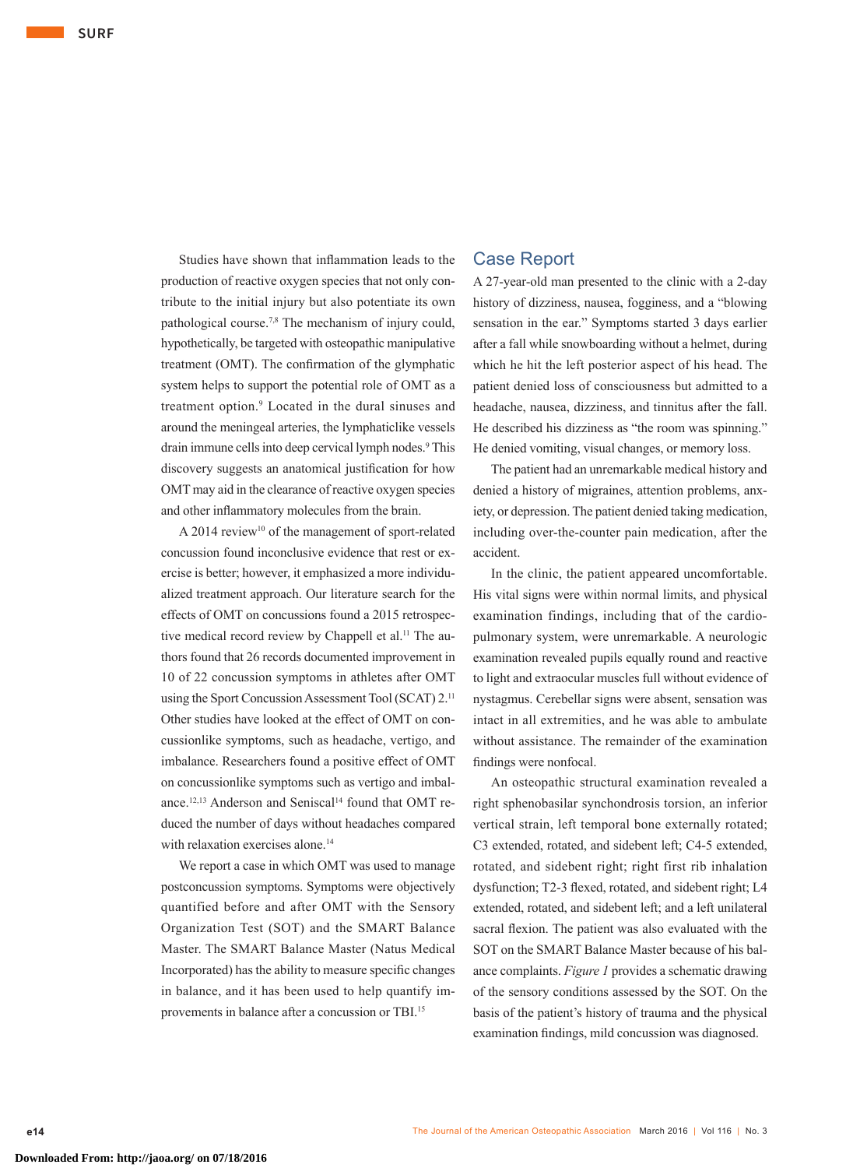Studies have shown that inflammation leads to the production of reactive oxygen species that not only contribute to the initial injury but also potentiate its own pathological course.7,8 The mechanism of injury could, hypothetically, be targeted with osteopathic manipulative treatment (OMT). The confirmation of the glymphatic system helps to support the potential role of OMT as a treatment option.9 Located in the dural sinuses and around the meningeal arteries, the lymphaticlike vessels drain immune cells into deep cervical lymph nodes.<sup>9</sup> This discovery suggests an anatomical justification for how OMT may aid in the clearance of reactive oxygen species and other inflammatory molecules from the brain.

A 2014 review<sup>10</sup> of the management of sport-related concussion found inconclusive evidence that rest or exercise is better; however, it emphasized a more individualized treatment approach. Our literature search for the effects of OMT on concussions found a 2015 retrospective medical record review by Chappell et al.<sup>11</sup> The authors found that 26 records documented improvement in 10 of 22 concussion symptoms in athletes after OMT using the Sport Concussion Assessment Tool (SCAT) 2.11 Other studies have looked at the effect of OMT on concussionlike symptoms, such as headache, vertigo, and imbalance. Researchers found a positive effect of OMT on concussionlike symptoms such as vertigo and imbalance.<sup>12,13</sup> Anderson and Seniscal<sup>14</sup> found that OMT reduced the number of days without headaches compared with relaxation exercises alone.<sup>14</sup>

We report a case in which OMT was used to manage postconcussion symptoms. Symptoms were objectively quantified before and after OMT with the Sensory Organization Test (SOT) and the SMART Balance Master. The SMART Balance Master (Natus Medical Incorporated) has the ability to measure specific changes in balance, and it has been used to help quantify improvements in balance after a concussion or TBI.15

# Case Report

A 27-year-old man presented to the clinic with a 2-day history of dizziness, nausea, fogginess, and a "blowing sensation in the ear." Symptoms started 3 days earlier after a fall while snowboarding without a helmet, during which he hit the left posterior aspect of his head. The patient denied loss of consciousness but admitted to a headache, nausea, dizziness, and tinnitus after the fall. He described his dizziness as "the room was spinning." He denied vomiting, visual changes, or memory loss.

The patient had an unremarkable medical history and denied a history of migraines, attention problems, anxiety, or depression. The patient denied taking medication, including over-the-counter pain medication, after the accident.

In the clinic, the patient appeared uncomfortable. His vital signs were within normal limits, and physical examination findings, including that of the cardiopulmonary system, were unremarkable. A neurologic examination revealed pupils equally round and reactive to light and extraocular muscles full without evidence of nystagmus. Cerebellar signs were absent, sensation was intact in all extremities, and he was able to ambulate without assistance. The remainder of the examination findings were nonfocal.

An osteopathic structural examination revealed a right sphenobasilar synchondrosis torsion, an inferior vertical strain, left temporal bone externally rotated; C3 extended, rotated, and sidebent left; C4-5 extended, rotated, and sidebent right; right first rib inhalation dysfunction; T2-3 flexed, rotated, and sidebent right; L4 extended, rotated, and sidebent left; and a left unilateral sacral flexion. The patient was also evaluated with the SOT on the SMART Balance Master because of his balance complaints. *Figure 1* provides a schematic drawing of the sensory conditions assessed by the SOT. On the basis of the patient's history of trauma and the physical examination findings, mild concussion was diagnosed.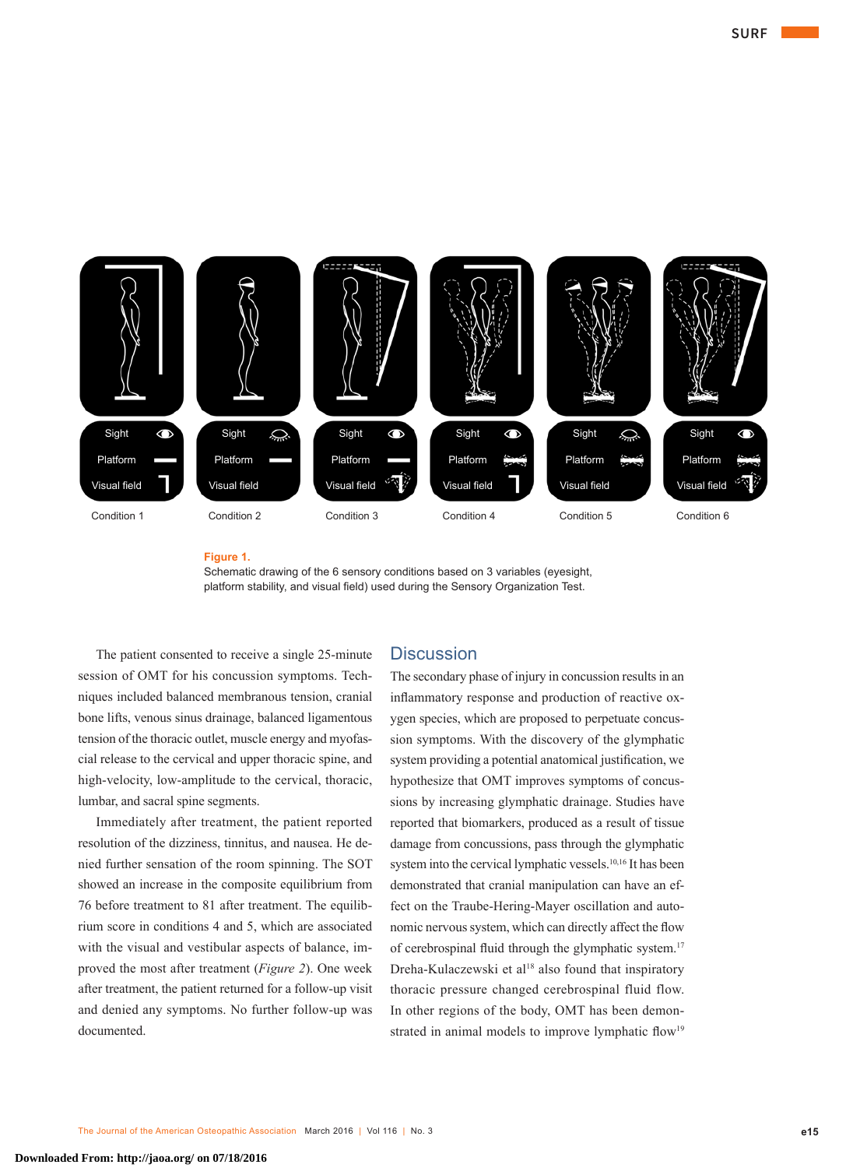

#### **Figure 1.**

Schematic drawing of the 6 sensory conditions based on 3 variables (eyesight, platform stability, and visual field) used during the Sensory Organization Test.

The patient consented to receive a single 25-minute session of OMT for his concussion symptoms. Techniques included balanced membranous tension, cranial bone lifts, venous sinus drainage, balanced ligamentous tension of the thoracic outlet, muscle energy and myofascial release to the cervical and upper thoracic spine, and high-velocity, low-amplitude to the cervical, thoracic, lumbar, and sacral spine segments.

Immediately after treatment, the patient reported resolution of the dizziness, tinnitus, and nausea. He denied further sensation of the room spinning. The SOT showed an increase in the composite equilibrium from 76 before treatment to 81 after treatment. The equilibrium score in conditions 4 and 5, which are associated with the visual and vestibular aspects of balance, improved the most after treatment (*Figure 2*). One week after treatment, the patient returned for a follow-up visit and denied any symptoms. No further follow-up was documented.

## **Discussion**

The secondary phase of injury in concussion results in an inflammatory response and production of reactive oxygen species, which are proposed to perpetuate concussion symptoms. With the discovery of the glymphatic system providing a potential anatomical justification, we hypothesize that OMT improves symptoms of concussions by increasing glymphatic drainage. Studies have reported that biomarkers, produced as a result of tissue damage from concussions, pass through the glymphatic system into the cervical lymphatic vessels.<sup>10,16</sup> It has been demonstrated that cranial manipulation can have an effect on the Traube-Hering-Mayer oscillation and autonomic nervous system, which can directly affect the flow of cerebrospinal fluid through the glymphatic system.<sup>17</sup> Dreha-Kulaczewski et al<sup>18</sup> also found that inspiratory thoracic pressure changed cerebrospinal fluid flow. In other regions of the body, OMT has been demonstrated in animal models to improve lymphatic flow<sup>19</sup>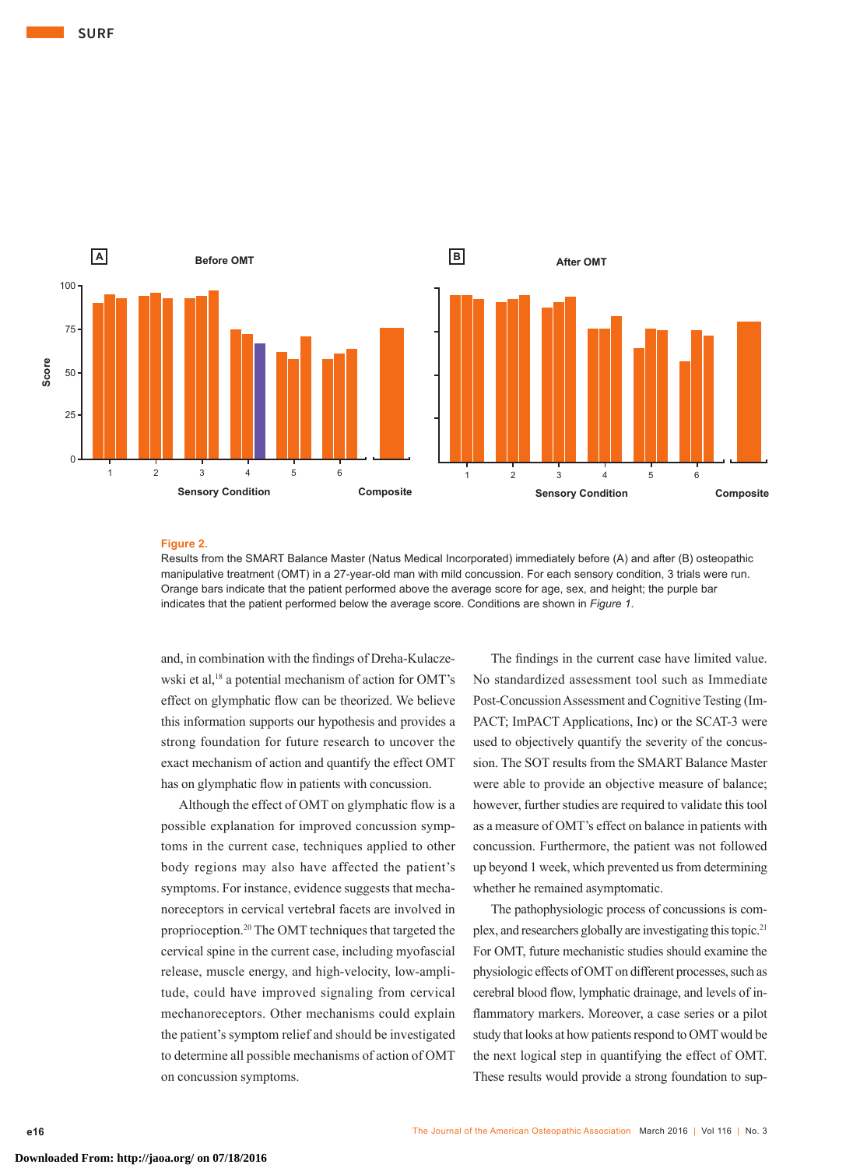

#### **Figure 2.**

Results from the SMART Balance Master (Natus Medical Incorporated) immediately before (A) and after (B) osteopathic manipulative treatment (OMT) in a 27-year-old man with mild concussion. For each sensory condition, 3 trials were run. Orange bars indicate that the patient performed above the average score for age, sex, and height; the purple bar indicates that the patient performed below the average score. Conditions are shown in *Figure 1*.

and, in combination with the findings of Dreha-Kulaczewski et al,<sup>18</sup> a potential mechanism of action for OMT's effect on glymphatic flow can be theorized. We believe this information supports our hypothesis and provides a strong foundation for future research to uncover the exact mechanism of action and quantify the effect OMT has on glymphatic flow in patients with concussion.

> Although the effect of OMT on glymphatic flow is a possible explanation for improved concussion symptoms in the current case, techniques applied to other body regions may also have affected the patient's symptoms. For instance, evidence suggests that mechanoreceptors in cervical vertebral facets are involved in proprioception.20 The OMT techniques that targeted the cervical spine in the current case, including myofascial release, muscle energy, and high-velocity, low-amplitude, could have improved signaling from cervical mechanoreceptors. Other mechanisms could explain the patient's symptom relief and should be investigated to determine all possible mechanisms of action of OMT on concussion symptoms.

The findings in the current case have limited value. No standardized assessment tool such as Immediate Post-Concussion Assessment and Cognitive Testing (Im-PACT; ImPACT Applications, Inc) or the SCAT-3 were used to objectively quantify the severity of the concussion. The SOT results from the SMART Balance Master were able to provide an objective measure of balance; however, further studies are required to validate this tool as a measure of OMT's effect on balance in patients with concussion. Furthermore, the patient was not followed up beyond 1 week, which prevented us from determining whether he remained asymptomatic.

The pathophysiologic process of concussions is complex, and researchers globally are investigating this topic.<sup>21</sup> For OMT, future mechanistic studies should examine the physiologic effects of OMT on different processes, such as cerebral blood flow, lymphatic drainage, and levels of inflammatory markers. Moreover, a case series or a pilot study that looks at how patients respond to OMT would be the next logical step in quantifying the effect of OMT. These results would provide a strong foundation to sup